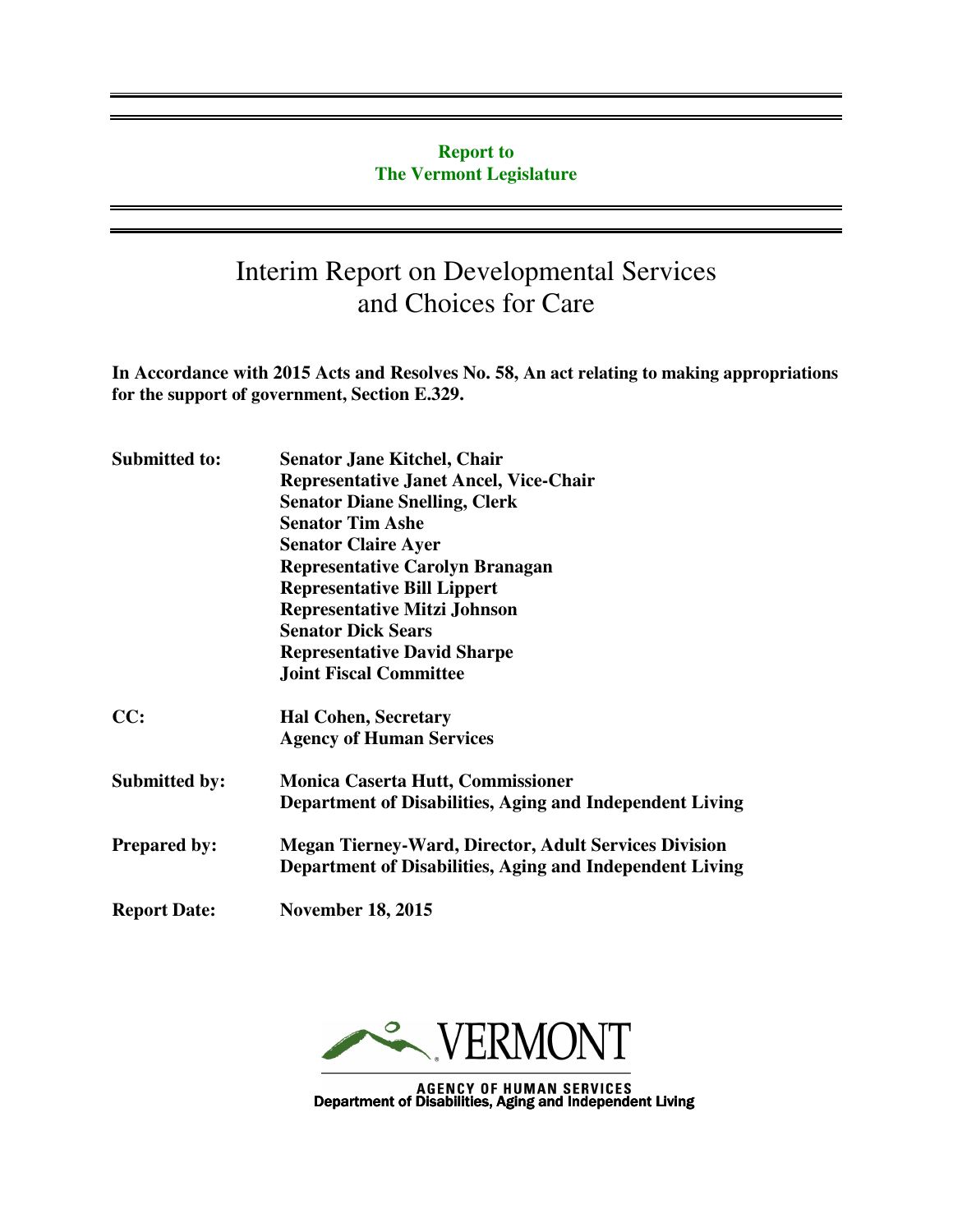#### **Report to The Vermont Legislature**

## Interim Report on Developmental Services and Choices for Care

**In Accordance with 2015 Acts and Resolves No. 58, An act relating to making appropriations for the support of government, Section E.329.**

| <b>Submitted to:</b> | <b>Senator Jane Kitchel, Chair</b>                           |
|----------------------|--------------------------------------------------------------|
|                      | <b>Representative Janet Ancel, Vice-Chair</b>                |
|                      | <b>Senator Diane Snelling, Clerk</b>                         |
|                      | <b>Senator Tim Ashe</b>                                      |
|                      | <b>Senator Claire Ayer</b>                                   |
|                      | <b>Representative Carolyn Branagan</b>                       |
|                      | <b>Representative Bill Lippert</b>                           |
|                      | <b>Representative Mitzi Johnson</b>                          |
|                      | <b>Senator Dick Sears</b>                                    |
|                      | <b>Representative David Sharpe</b>                           |
|                      | <b>Joint Fiscal Committee</b>                                |
| CC:                  | <b>Hal Cohen, Secretary</b>                                  |
|                      | <b>Agency of Human Services</b>                              |
| <b>Submitted by:</b> | <b>Monica Caserta Hutt, Commissioner</b>                     |
|                      | Department of Disabilities, Aging and Independent Living     |
| <b>Prepared by:</b>  | <b>Megan Tierney-Ward, Director, Adult Services Division</b> |
|                      | Department of Disabilities, Aging and Independent Living     |
| <b>Report Date:</b>  | <b>November 18, 2015</b>                                     |
|                      |                                                              |



AGENCY OF HUMAN SERVICES<br>Department of Disabilities, Aging and Independent Living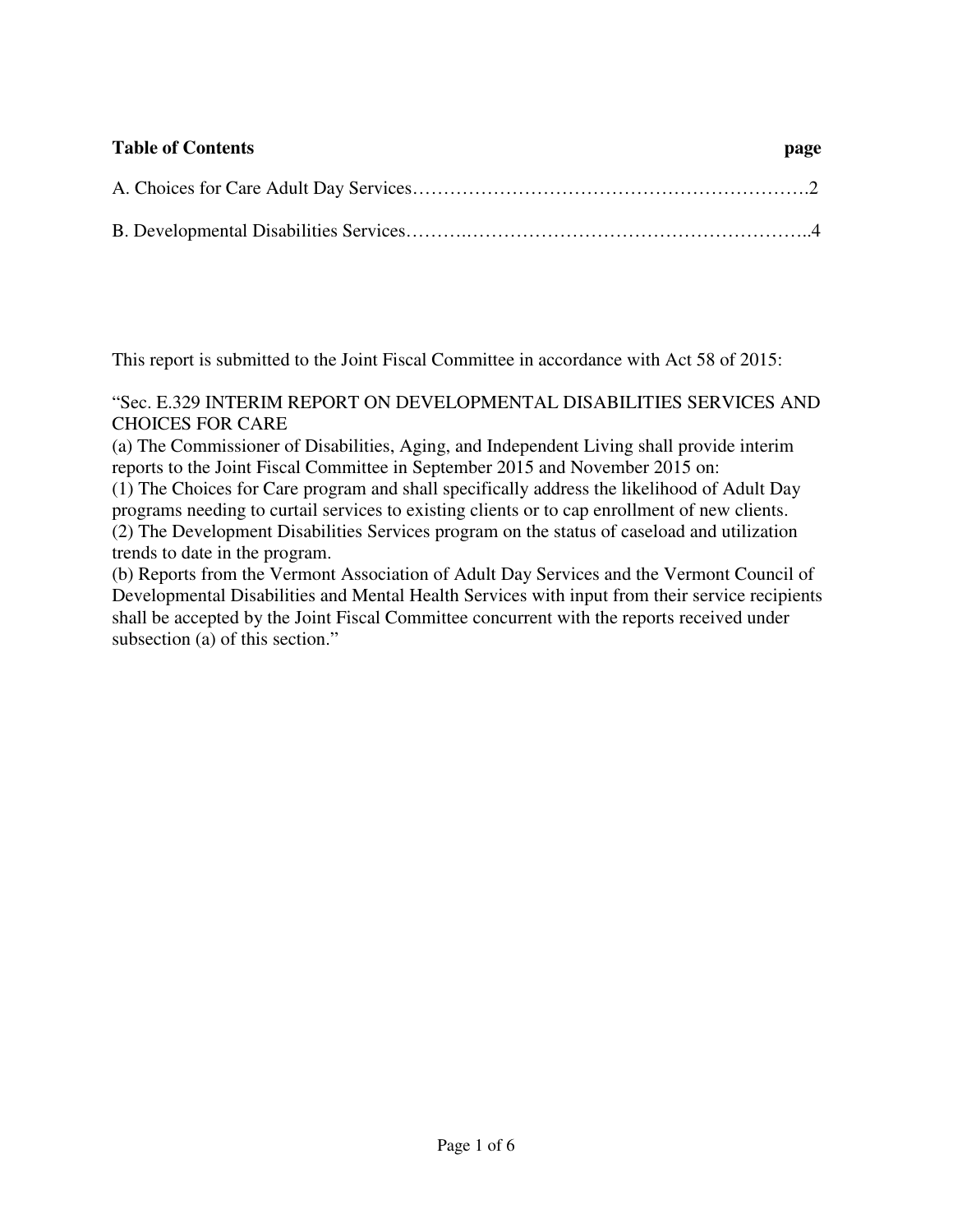# **Table of Contents page**  A. Choices for Care Adult Day Services……………………………………………………….2 B. Developmental Disabilities Services……….………………………………………………..4

This report is submitted to the Joint Fiscal Committee in accordance with Act 58 of 2015:

"Sec. E.329 INTERIM REPORT ON DEVELOPMENTAL DISABILITIES SERVICES AND CHOICES FOR CARE

(a) The Commissioner of Disabilities, Aging, and Independent Living shall provide interim reports to the Joint Fiscal Committee in September 2015 and November 2015 on:

(1) The Choices for Care program and shall specifically address the likelihood of Adult Day programs needing to curtail services to existing clients or to cap enrollment of new clients. (2) The Development Disabilities Services program on the status of caseload and utilization trends to date in the program.

(b) Reports from the Vermont Association of Adult Day Services and the Vermont Council of Developmental Disabilities and Mental Health Services with input from their service recipients shall be accepted by the Joint Fiscal Committee concurrent with the reports received under subsection (a) of this section."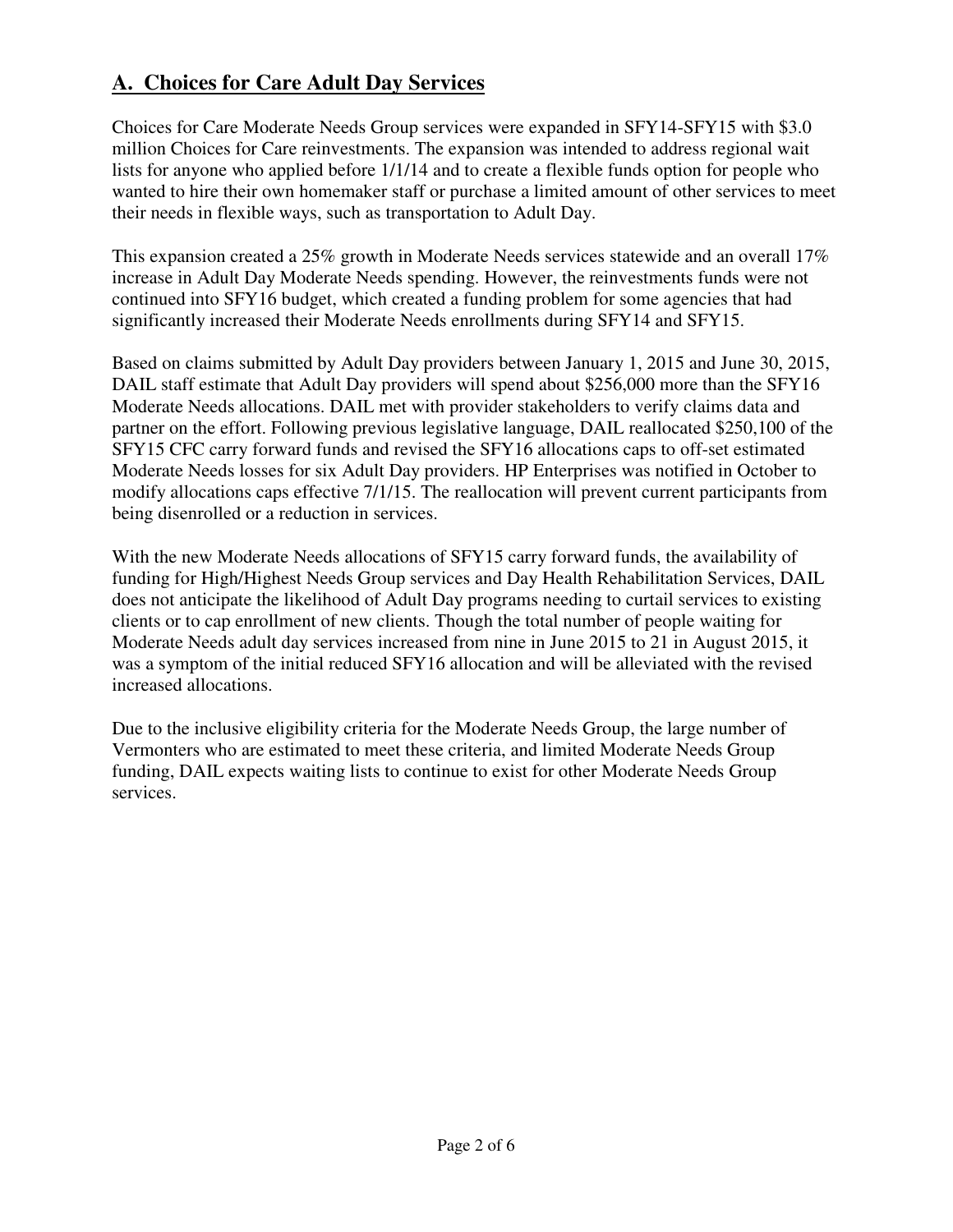#### **A. Choices for Care Adult Day Services**

Choices for Care Moderate Needs Group services were expanded in SFY14-SFY15 with \$3.0 million Choices for Care reinvestments. The expansion was intended to address regional wait lists for anyone who applied before 1/1/14 and to create a flexible funds option for people who wanted to hire their own homemaker staff or purchase a limited amount of other services to meet their needs in flexible ways, such as transportation to Adult Day.

This expansion created a 25% growth in Moderate Needs services statewide and an overall 17% increase in Adult Day Moderate Needs spending. However, the reinvestments funds were not continued into SFY16 budget, which created a funding problem for some agencies that had significantly increased their Moderate Needs enrollments during SFY14 and SFY15.

Based on claims submitted by Adult Day providers between January 1, 2015 and June 30, 2015, DAIL staff estimate that Adult Day providers will spend about \$256,000 more than the SFY16 Moderate Needs allocations. DAIL met with provider stakeholders to verify claims data and partner on the effort. Following previous legislative language, DAIL reallocated \$250,100 of the SFY15 CFC carry forward funds and revised the SFY16 allocations caps to off-set estimated Moderate Needs losses for six Adult Day providers. HP Enterprises was notified in October to modify allocations caps effective 7/1/15. The reallocation will prevent current participants from being disenrolled or a reduction in services.

With the new Moderate Needs allocations of SFY15 carry forward funds, the availability of funding for High/Highest Needs Group services and Day Health Rehabilitation Services, DAIL does not anticipate the likelihood of Adult Day programs needing to curtail services to existing clients or to cap enrollment of new clients. Though the total number of people waiting for Moderate Needs adult day services increased from nine in June 2015 to 21 in August 2015, it was a symptom of the initial reduced SFY16 allocation and will be alleviated with the revised increased allocations.

Due to the inclusive eligibility criteria for the Moderate Needs Group, the large number of Vermonters who are estimated to meet these criteria, and limited Moderate Needs Group funding, DAIL expects waiting lists to continue to exist for other Moderate Needs Group services.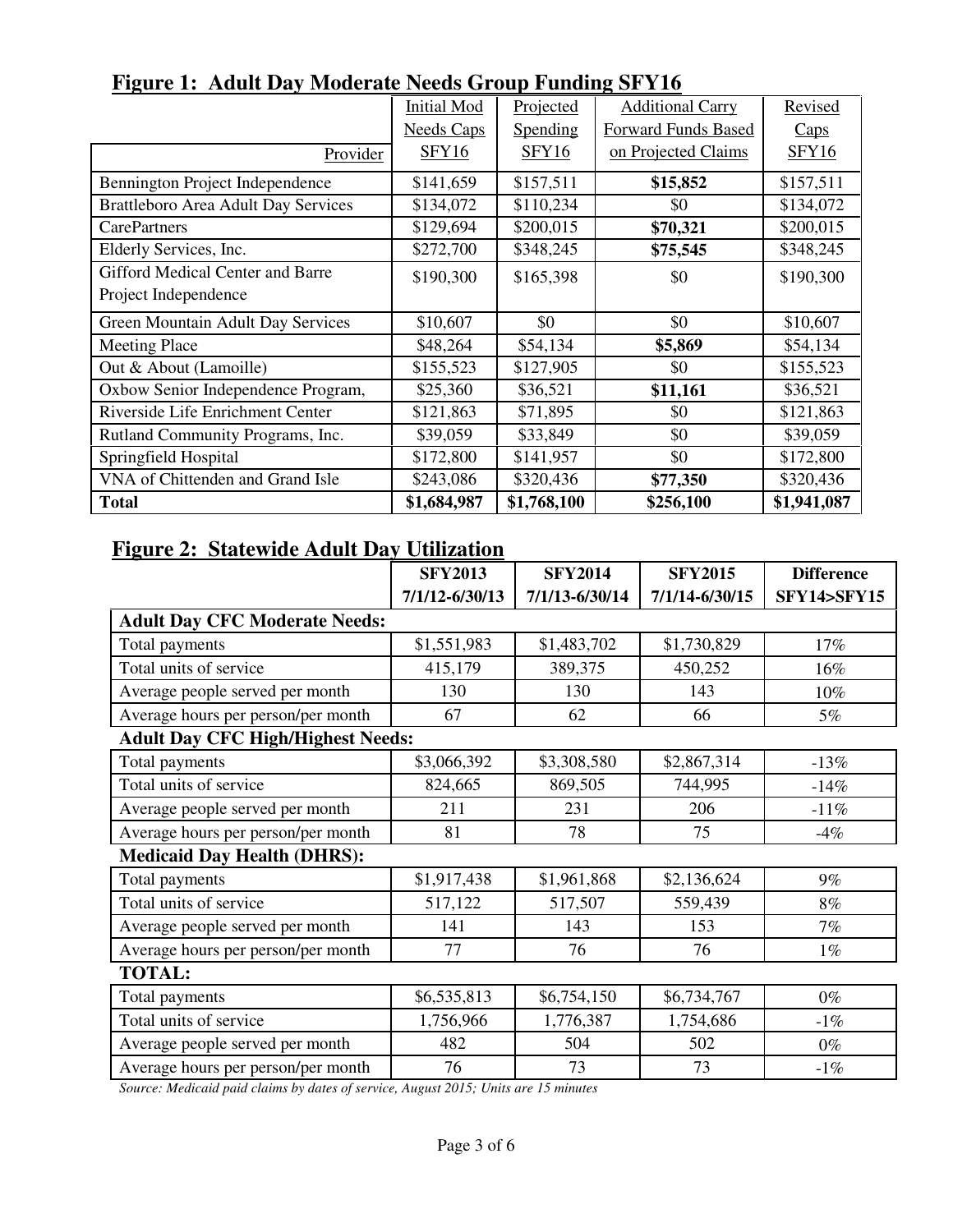|                                            | <b>Initial Mod</b> | Projected    | <b>Additional Carry</b> | Revised      |
|--------------------------------------------|--------------------|--------------|-------------------------|--------------|
|                                            | <b>Needs Caps</b>  | Spending     | Forward Funds Based     | Caps         |
| Provider                                   | <b>SFY16</b>       | <b>SFY16</b> | on Projected Claims     | <b>SFY16</b> |
| Bennington Project Independence            | \$141,659          | \$157,511    | \$15,852                | \$157,511    |
| <b>Brattleboro Area Adult Day Services</b> | \$134,072          | \$110,234    | \$0                     | \$134,072    |
| <b>CarePartners</b>                        | \$129,694          | \$200,015    | \$70,321                | \$200,015    |
| Elderly Services, Inc.                     | \$272,700          | \$348,245    | \$75,545                | \$348,245    |
| <b>Gifford Medical Center and Barre</b>    | \$190,300          | \$165,398    | \$0                     | \$190,300    |
| Project Independence                       |                    |              |                         |              |
| Green Mountain Adult Day Services          | \$10,607           | \$0          | \$0                     | \$10,607     |
| <b>Meeting Place</b>                       | \$48,264           | \$54,134     | \$5,869                 | \$54,134     |
| Out & About (Lamoille)                     | \$155,523          | \$127,905    | \$0                     | \$155,523    |
| Oxbow Senior Independence Program,         | \$25,360           | \$36,521     | \$11,161                | \$36,521     |
| Riverside Life Enrichment Center           | \$121,863          | \$71,895     | \$0                     | \$121,863    |
| Rutland Community Programs, Inc.           | \$39,059           | \$33,849     | \$0                     | \$39,059     |
| Springfield Hospital                       | \$172,800          | \$141,957    | \$0                     | \$172,800    |
| VNA of Chittenden and Grand Isle           | \$243,086          | \$320,436    | \$77,350                | \$320,436    |
| <b>Total</b>                               | \$1,684,987        | \$1,768,100  | \$256,100               | \$1,941,087  |

### **Figure 1: Adult Day Moderate Needs Group Funding SFY16**

#### **Figure 2: Statewide Adult Day Utilization**

|                                          | <b>SFY2013</b> | <b>SFY2014</b> | <b>SFY2015</b> | <b>Difference</b>     |
|------------------------------------------|----------------|----------------|----------------|-----------------------|
|                                          | 7/1/12-6/30/13 | 7/1/13-6/30/14 | 7/1/14-6/30/15 | <b>SFY14&gt;SFY15</b> |
| <b>Adult Day CFC Moderate Needs:</b>     |                |                |                |                       |
| Total payments                           | \$1,551,983    | \$1,483,702    | \$1,730,829    | 17%                   |
| Total units of service                   | 415,179        | 389,375        | 450,252        | 16%                   |
| Average people served per month          | 130            | 130            | 143            | 10%                   |
| Average hours per person/per month       | 67             | 62             | 66             | 5%                    |
| <b>Adult Day CFC High/Highest Needs:</b> |                |                |                |                       |
| Total payments                           | \$3,066,392    | \$3,308,580    | \$2,867,314    | $-13%$                |
| Total units of service                   | 824,665        | 869,505        | 744,995        | $-14%$                |
| Average people served per month          | 211            | 231            | 206            | $-11%$                |
| Average hours per person/per month       | 81             | 78             | 75             | $-4%$                 |
| <b>Medicaid Day Health (DHRS):</b>       |                |                |                |                       |
| Total payments                           | \$1,917,438    | \$1,961,868    | \$2,136,624    | $9\%$                 |
| Total units of service                   | 517,122        | 517,507        | 559,439        | $8\%$                 |
| Average people served per month          | 141            | 143            | 153            | 7%                    |
| Average hours per person/per month       | 77             | 76             | 76             | $1\%$                 |
| <b>TOTAL:</b>                            |                |                |                |                       |
| Total payments                           | \$6,535,813    | \$6,754,150    | \$6,734,767    | $0\%$                 |
| Total units of service                   | 1,756,966      | 1,776,387      | 1,754,686      | $-1\%$                |
| Average people served per month          | 482            | 504            | 502            | $0\%$                 |
| Average hours per person/per month       | 76             | 73             | 73             | $-1\%$                |

*Source: Medicaid paid claims by dates of service, August 2015; Units are 15 minutes*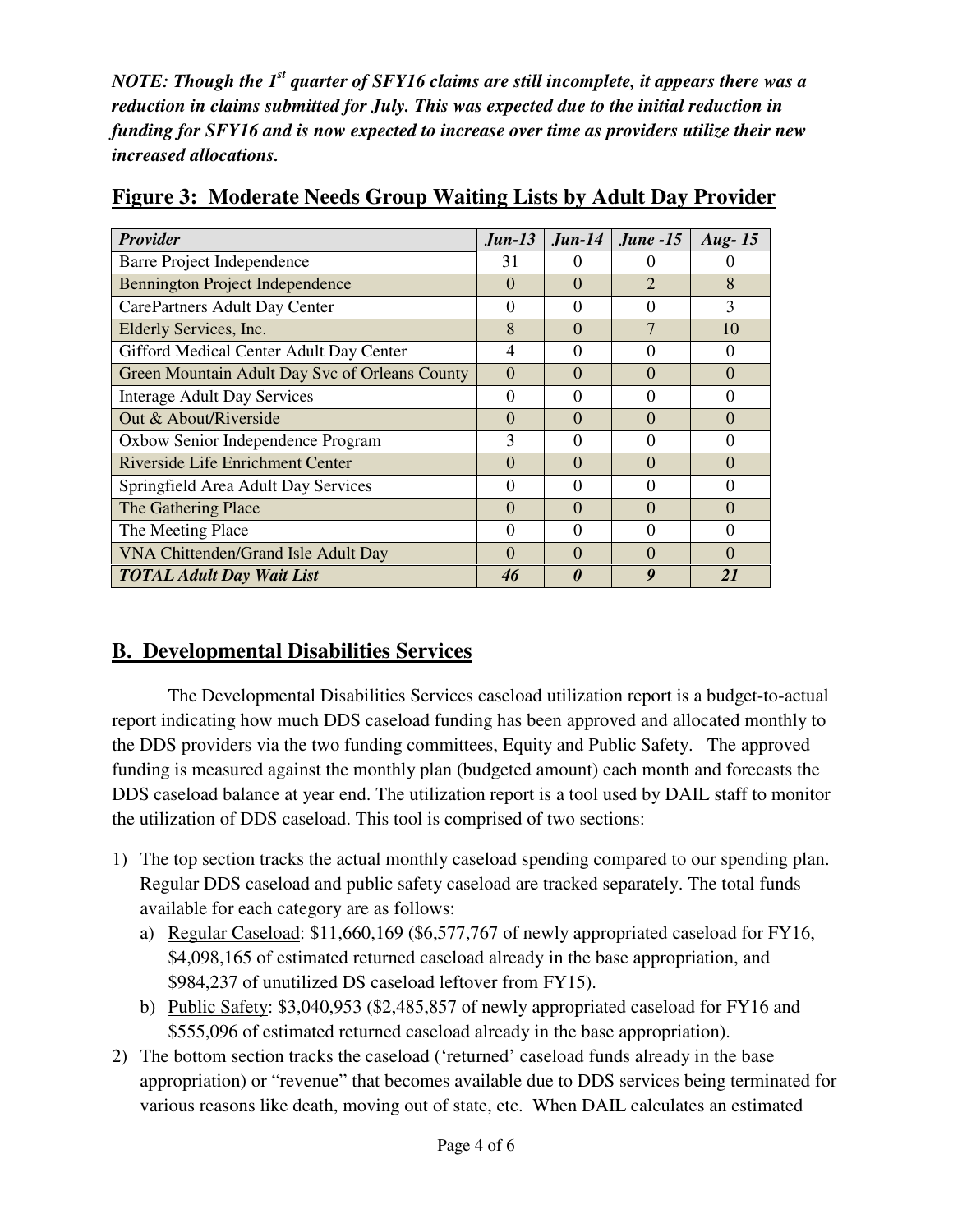*NOTE: Though the 1st quarter of SFY16 claims are still incomplete, it appears there was a reduction in claims submitted for July. This was expected due to the initial reduction in funding for SFY16 and is now expected to increase over time as providers utilize their new increased allocations.* 

| <b>Provider</b>                                | $Jun-13$     | $J$ un-14         | $June -15$                  | Aug- $15$ |
|------------------------------------------------|--------------|-------------------|-----------------------------|-----------|
| Barre Project Independence                     | 31           |                   | 0                           |           |
| Bennington Project Independence                | $\mathbf{0}$ | $\mathbf{0}$      | $\mathcal{D}_{\mathcal{A}}$ | 8         |
| CarePartners Adult Day Center                  | $\theta$     | 0                 | $\Omega$                    | 3         |
| Elderly Services, Inc.                         | 8            | $\Omega$          | 7                           | 10        |
| Gifford Medical Center Adult Day Center        | 4            | $\theta$          | $\Omega$                    | $\theta$  |
| Green Mountain Adult Day Svc of Orleans County | $\Omega$     | $\Omega$          | $\Omega$                    | $\Omega$  |
| <b>Interage Adult Day Services</b>             | 0            | $\Omega$          | 0                           | 0         |
| Out & About/Riverside                          | 0            | $\mathbf{\Omega}$ | $\Omega$                    | $\Omega$  |
| Oxbow Senior Independence Program              | 3            | $\theta$          | 0                           | $\Omega$  |
| Riverside Life Enrichment Center               | $\Omega$     | $\Omega$          | $\Omega$                    | $\Omega$  |
| Springfield Area Adult Day Services            | 0            | $\theta$          | 0                           | $\Omega$  |
| The Gathering Place                            | $\Omega$     | $\Omega$          | $\Omega$                    | $\Omega$  |
| The Meeting Place                              | 0            | $\mathbf{\Omega}$ | $\Omega$                    | 0         |
| VNA Chittenden/Grand Isle Adult Day            | 0            | $\mathbf{\Omega}$ | $\Omega$                    | $\Omega$  |
| <b>TOTAL Adult Day Wait List</b>               | 46           | 0                 | 9                           | 21        |

**Figure 3: Moderate Needs Group Waiting Lists by Adult Day Provider**

#### **B. Developmental Disabilities Services**

The Developmental Disabilities Services caseload utilization report is a budget-to-actual report indicating how much DDS caseload funding has been approved and allocated monthly to the DDS providers via the two funding committees, Equity and Public Safety. The approved funding is measured against the monthly plan (budgeted amount) each month and forecasts the DDS caseload balance at year end. The utilization report is a tool used by DAIL staff to monitor the utilization of DDS caseload. This tool is comprised of two sections:

- 1) The top section tracks the actual monthly caseload spending compared to our spending plan. Regular DDS caseload and public safety caseload are tracked separately. The total funds available for each category are as follows:
	- a) Regular Caseload: \$11,660,169 (\$6,577,767 of newly appropriated caseload for FY16, \$4,098,165 of estimated returned caseload already in the base appropriation, and \$984,237 of unutilized DS caseload leftover from FY15).
	- b) Public Safety: \$3,040,953 (\$2,485,857 of newly appropriated caseload for FY16 and \$555,096 of estimated returned caseload already in the base appropriation).
- 2) The bottom section tracks the caseload ('returned' caseload funds already in the base appropriation) or "revenue" that becomes available due to DDS services being terminated for various reasons like death, moving out of state, etc. When DAIL calculates an estimated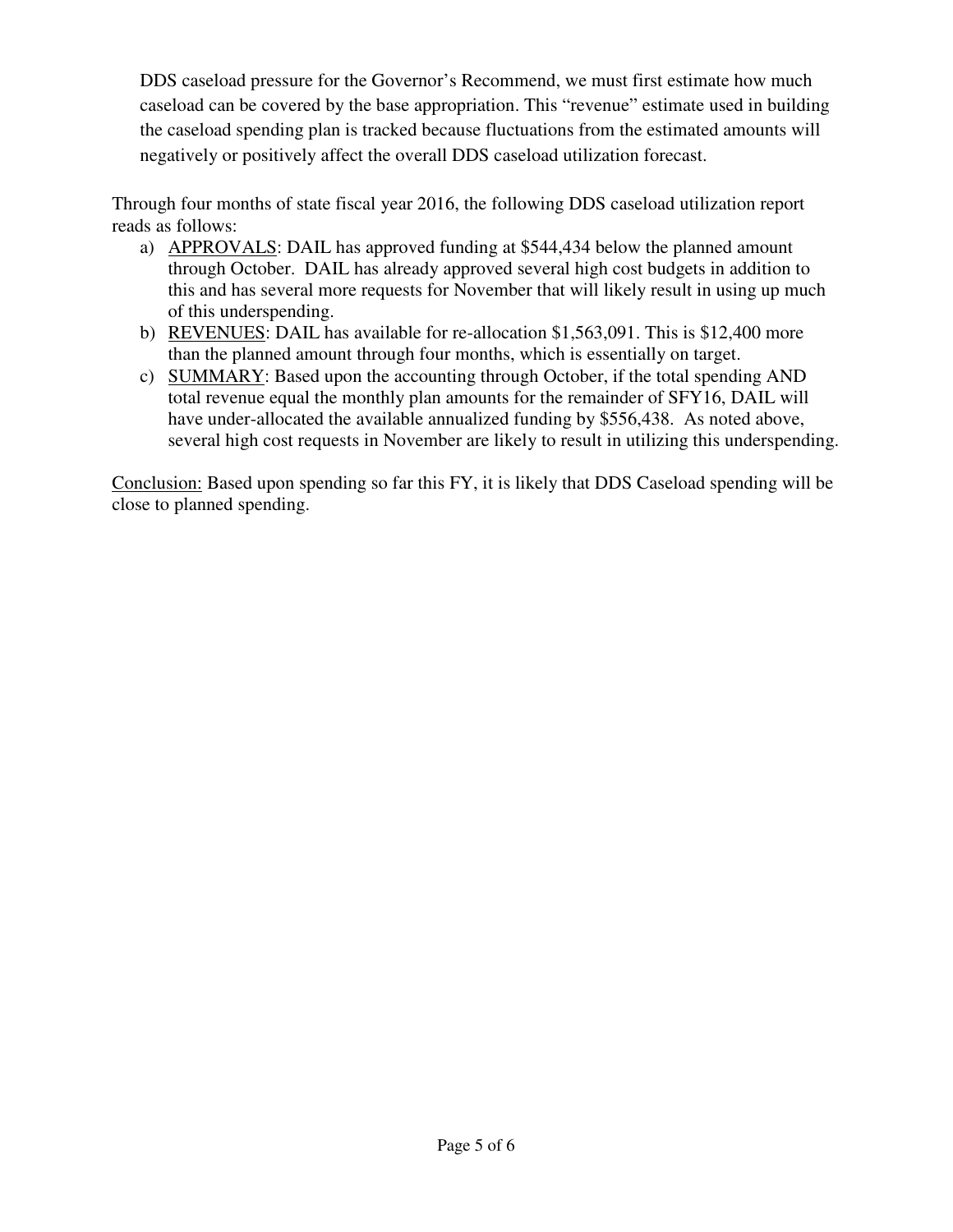DDS caseload pressure for the Governor's Recommend, we must first estimate how much caseload can be covered by the base appropriation. This "revenue" estimate used in building the caseload spending plan is tracked because fluctuations from the estimated amounts will negatively or positively affect the overall DDS caseload utilization forecast.

Through four months of state fiscal year 2016, the following DDS caseload utilization report reads as follows:

- a) APPROVALS: DAIL has approved funding at \$544,434 below the planned amount through October. DAIL has already approved several high cost budgets in addition to this and has several more requests for November that will likely result in using up much of this underspending.
- b) REVENUES: DAIL has available for re-allocation \$1,563,091. This is \$12,400 more than the planned amount through four months, which is essentially on target.
- c) SUMMARY: Based upon the accounting through October, if the total spending AND total revenue equal the monthly plan amounts for the remainder of SFY16, DAIL will have under-allocated the available annualized funding by \$556,438. As noted above, several high cost requests in November are likely to result in utilizing this underspending.

Conclusion: Based upon spending so far this FY, it is likely that DDS Caseload spending will be close to planned spending.